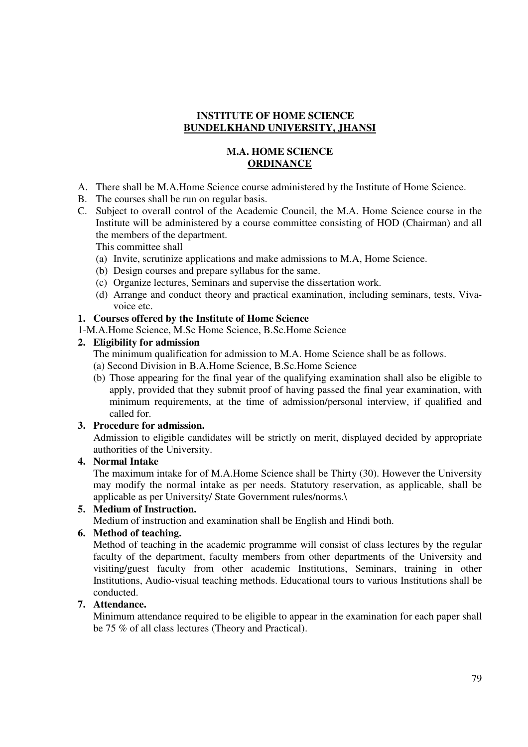## **INSTITUTE OF HOME SCIENCE BUNDELKHAND UNIVERSITY, JHANSI**

## **M.A. HOME SCIENCE ORDINANCE**

- A. There shall be M.A.Home Science course administered by the Institute of Home Science.
- B. The courses shall be run on regular basis.
- C. Subject to overall control of the Academic Council, the M.A. Home Science course in the Institute will be administered by a course committee consisting of HOD (Chairman) and all the members of the department.

This committee shall

- (a) Invite, scrutinize applications and make admissions to M.A, Home Science.
- (b) Design courses and prepare syllabus for the same.
- (c) Organize lectures, Seminars and supervise the dissertation work.
- (d) Arrange and conduct theory and practical examination, including seminars, tests, Vivavoice etc.

### **1. Courses offered by the Institute of Home Science**

1-M.A.Home Science, M.Sc Home Science, B.Sc.Home Science

### **2. Eligibility for admission**

- The minimum qualification for admission to M.A. Home Science shall be as follows.
- (a) Second Division in B.A.Home Science, B.Sc.Home Science
- (b) Those appearing for the final year of the qualifying examination shall also be eligible to apply, provided that they submit proof of having passed the final year examination, with minimum requirements, at the time of admission/personal interview, if qualified and called for.

### **3. Procedure for admission.**

Admission to eligible candidates will be strictly on merit, displayed decided by appropriate authorities of the University.

### **4. Normal Intake**

The maximum intake for of M.A.Home Science shall be Thirty (30). However the University may modify the normal intake as per needs. Statutory reservation, as applicable, shall be applicable as per University/ State Government rules/norms.\

### **5. Medium of Instruction.**

Medium of instruction and examination shall be English and Hindi both.

### **6. Method of teaching.**

Method of teaching in the academic programme will consist of class lectures by the regular faculty of the department, faculty members from other departments of the University and visiting/guest faculty from other academic Institutions, Seminars, training in other Institutions, Audio-visual teaching methods. Educational tours to various Institutions shall be conducted.

### **7. Attendance.**

Minimum attendance required to be eligible to appear in the examination for each paper shall be 75 % of all class lectures (Theory and Practical).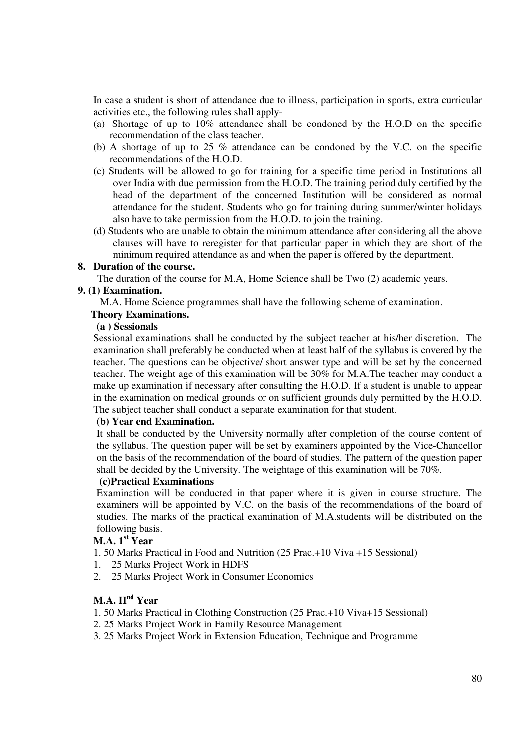In case a student is short of attendance due to illness, participation in sports, extra curricular activities etc., the following rules shall apply-

- (a) Shortage of up to 10% attendance shall be condoned by the H.O.D on the specific recommendation of the class teacher.
- (b) A shortage of up to 25 % attendance can be condoned by the V.C. on the specific recommendations of the H.O.D.
- (c) Students will be allowed to go for training for a specific time period in Institutions all over India with due permission from the H.O.D. The training period duly certified by the head of the department of the concerned Institution will be considered as normal attendance for the student. Students who go for training during summer/winter holidays also have to take permission from the H.O.D. to join the training.
- (d) Students who are unable to obtain the minimum attendance after considering all the above clauses will have to reregister for that particular paper in which they are short of the minimum required attendance as and when the paper is offered by the department.

### **8. Duration of the course.**

The duration of the course for M.A, Home Science shall be Two (2) academic years.

### **9. (1) Examination.**

M.A. Home Science programmes shall have the following scheme of examination.

### **Theory Examinations.**

### **(a ) Sessionals**

Sessional examinations shall be conducted by the subject teacher at his/her discretion. The examination shall preferably be conducted when at least half of the syllabus is covered by the teacher. The questions can be objective/ short answer type and will be set by the concerned teacher. The weight age of this examination will be 30% for M.A.The teacher may conduct a make up examination if necessary after consulting the H.O.D. If a student is unable to appear in the examination on medical grounds or on sufficient grounds duly permitted by the H.O.D. The subject teacher shall conduct a separate examination for that student.

### **(b) Year end Examination.**

It shall be conducted by the University normally after completion of the course content of the syllabus. The question paper will be set by examiners appointed by the Vice-Chancellor on the basis of the recommendation of the board of studies. The pattern of the question paper shall be decided by the University. The weightage of this examination will be 70%.

### **(c)Practical Examinations**

Examination will be conducted in that paper where it is given in course structure. The examiners will be appointed by V.C. on the basis of the recommendations of the board of studies. The marks of the practical examination of M.A.students will be distributed on the following basis.

# **M.A. 1st Year**

1. 50 Marks Practical in Food and Nutrition (25 Prac.+10 Viva +15 Sessional)

- 1. 25 Marks Project Work in HDFS
- 2. 25 Marks Project Work in Consumer Economics

# **M.A. IInd Year**

- 1. 50 Marks Practical in Clothing Construction (25 Prac.+10 Viva+15 Sessional)
- 2. 25 Marks Project Work in Family Resource Management
- 3. 25 Marks Project Work in Extension Education, Technique and Programme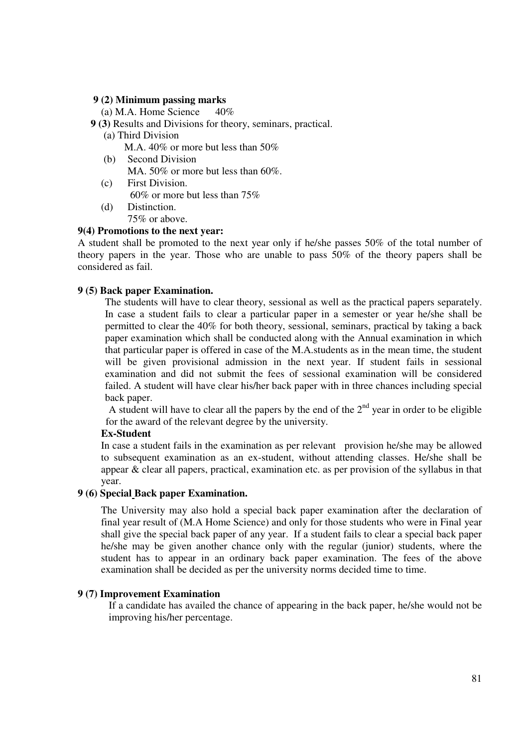### **9 (2) Minimum passing marks**

(a) M.A. Home Science  $40\%$ 

- **9 (3)** Results and Divisions for theory, seminars, practical.
	- (a) Third Division

M.A. 40% or more but less than 50%

- (b) Second Division MA. 50% or more but less than 60%.
- (c) First Division. 60% or more but less than 75%
- (d) Distinction. 75% or above.

### **9(4) Promotions to the next year:**

A student shall be promoted to the next year only if he/she passes 50% of the total number of theory papers in the year. Those who are unable to pass 50% of the theory papers shall be considered as fail.

### **9 (5) Back paper Examination.**

The students will have to clear theory, sessional as well as the practical papers separately. In case a student fails to clear a particular paper in a semester or year he/she shall be permitted to clear the 40% for both theory, sessional, seminars, practical by taking a back paper examination which shall be conducted along with the Annual examination in which that particular paper is offered in case of the M.A.students as in the mean time, the student will be given provisional admission in the next year. If student fails in sessional examination and did not submit the fees of sessional examination will be considered failed. A student will have clear his/her back paper with in three chances including special back paper.

A student will have to clear all the papers by the end of the  $2<sup>nd</sup>$  year in order to be eligible for the award of the relevant degree by the university.

### **Ex-Student**

In case a student fails in the examination as per relevant provision he/she may be allowed to subsequent examination as an ex-student, without attending classes. He/she shall be appear & clear all papers, practical, examination etc. as per provision of the syllabus in that year.

### **9 (6) Special Back paper Examination.**

The University may also hold a special back paper examination after the declaration of final year result of (M.A Home Science) and only for those students who were in Final year shall give the special back paper of any year. If a student fails to clear a special back paper he/she may be given another chance only with the regular (junior) students, where the student has to appear in an ordinary back paper examination. The fees of the above examination shall be decided as per the university norms decided time to time.

### **9 (7) Improvement Examination**

If a candidate has availed the chance of appearing in the back paper, he/she would not be improving his/her percentage.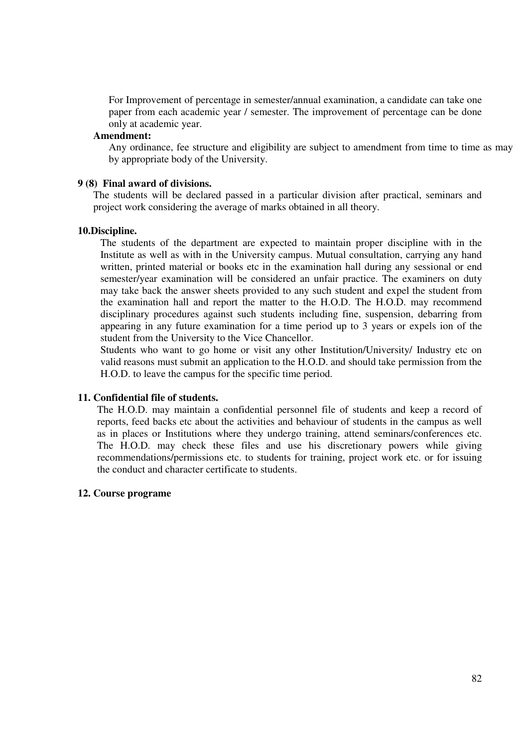For Improvement of percentage in semester/annual examination, a candidate can take one paper from each academic year / semester. The improvement of percentage can be done only at academic year.

### **Amendment:**

Any ordinance, fee structure and eligibility are subject to amendment from time to time as may by appropriate body of the University.

#### **9 (8) Final award of divisions.**

 The students will be declared passed in a particular division after practical, seminars and project work considering the average of marks obtained in all theory.

#### **10.Discipline.**

The students of the department are expected to maintain proper discipline with in the Institute as well as with in the University campus. Mutual consultation, carrying any hand written, printed material or books etc in the examination hall during any sessional or end semester/year examination will be considered an unfair practice. The examiners on duty may take back the answer sheets provided to any such student and expel the student from the examination hall and report the matter to the H.O.D. The H.O.D. may recommend disciplinary procedures against such students including fine, suspension, debarring from appearing in any future examination for a time period up to 3 years or expels ion of the student from the University to the Vice Chancellor.

Students who want to go home or visit any other Institution/University/ Industry etc on valid reasons must submit an application to the H.O.D. and should take permission from the H.O.D. to leave the campus for the specific time period.

### **11. Confidential file of students.**

The H.O.D. may maintain a confidential personnel file of students and keep a record of reports, feed backs etc about the activities and behaviour of students in the campus as well as in places or Institutions where they undergo training, attend seminars/conferences etc. The H.O.D. may check these files and use his discretionary powers while giving recommendations/permissions etc. to students for training, project work etc. or for issuing the conduct and character certificate to students.

### **12. Course programe**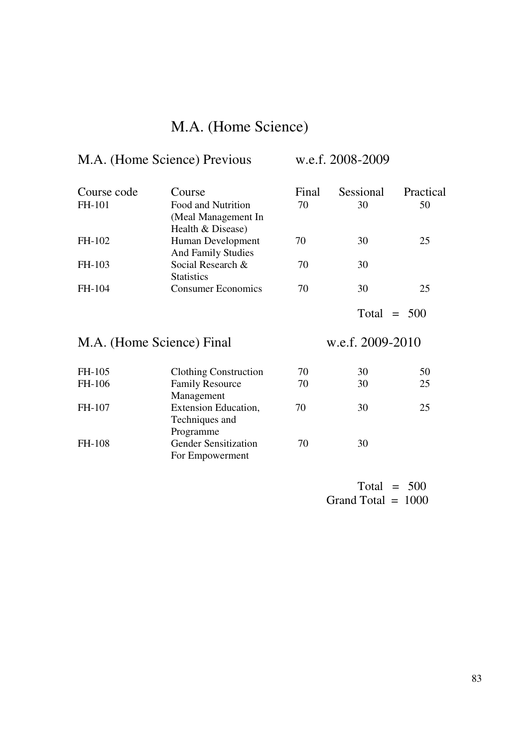# M.A. (Home Science)

# M.A. (Home Science) Previous w.e.f. 2008-2009

| Course code               | Course                                                         | Final | Sessional        | Practical |
|---------------------------|----------------------------------------------------------------|-------|------------------|-----------|
| FH-101                    | Food and Nutrition<br>(Meal Management In<br>Health & Disease) | 70    | 30               | 50        |
| FH-102                    | Human Development<br><b>And Family Studies</b>                 | 70    | 30               | 25        |
| FH-103                    | Social Research &<br><b>Statistics</b>                         | 70    | 30               |           |
| FH-104                    | <b>Consumer Economics</b>                                      | 70    | 30               | 25        |
|                           |                                                                |       | Total            | $= 500$   |
|                           |                                                                |       |                  |           |
| M.A. (Home Science) Final |                                                                |       | w.e.f. 2009-2010 |           |
| FH-105                    | <b>Clothing Construction</b>                                   | 70    | 30               | 50        |
| FH-106                    | <b>Family Resource</b><br>Management                           | 70    | 30               | 25        |
| FH-107                    | Extension Education,<br>Techniques and<br>Programme            | 70    | 30               | 25        |

Total =  $500$ Grand Total =  $1000$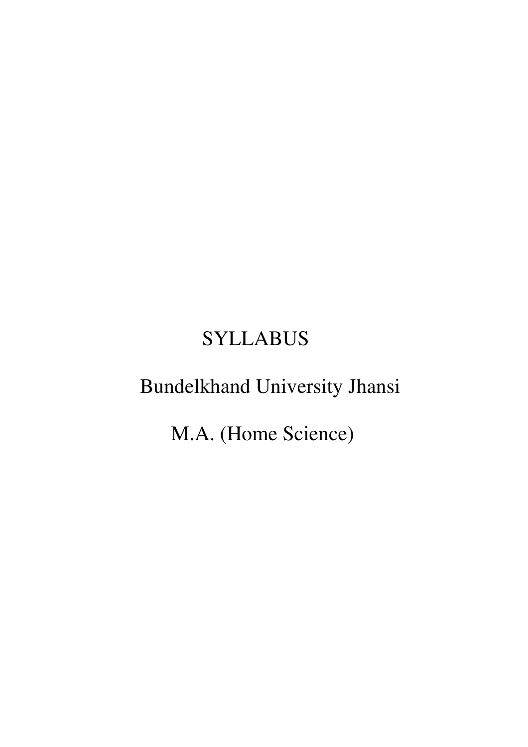# **SYLLABUS**

# Bundelkhand University Jhansi

M.A. (Home Science)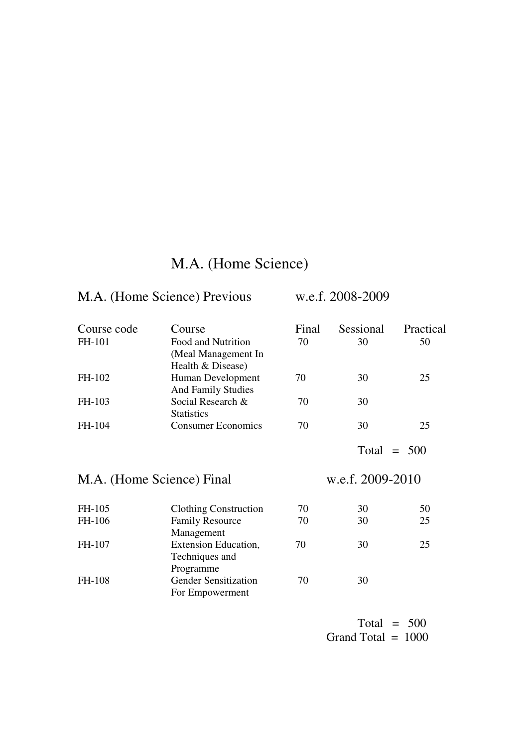# M.A. (Home Science)

# M.A. (Home Science) Previous w.e.f. 2008-2009

| Course code<br>FH-101     | Course<br>Food and Nutrition<br>(Meal Management In<br>Health & Disease) | Final<br>70      | Sessional<br>30 | Practical<br>50 |  |
|---------------------------|--------------------------------------------------------------------------|------------------|-----------------|-----------------|--|
| FH-102                    | Human Development<br><b>And Family Studies</b>                           | 70               | 30              | 25              |  |
| FH-103                    | Social Research &<br><b>Statistics</b>                                   | 70               | 30              |                 |  |
| FH-104                    | <b>Consumer Economics</b>                                                | 70               | 30              | 25              |  |
|                           |                                                                          |                  | Total<br>$=$    | 500             |  |
| M.A. (Home Science) Final |                                                                          | w.e.f. 2009-2010 |                 |                 |  |
| FH-105                    | <b>Clothing Construction</b>                                             | 70               | 30              | 50              |  |
| FH-106                    | <b>Family Resource</b><br>Management                                     | 70               | 30              | 25              |  |
| FH-107                    | Extension Education,<br>Techniques and                                   | 70               | 30              | 25              |  |
|                           | Programme                                                                |                  |                 |                 |  |

Total  $= 500$ Grand Total =  $1000$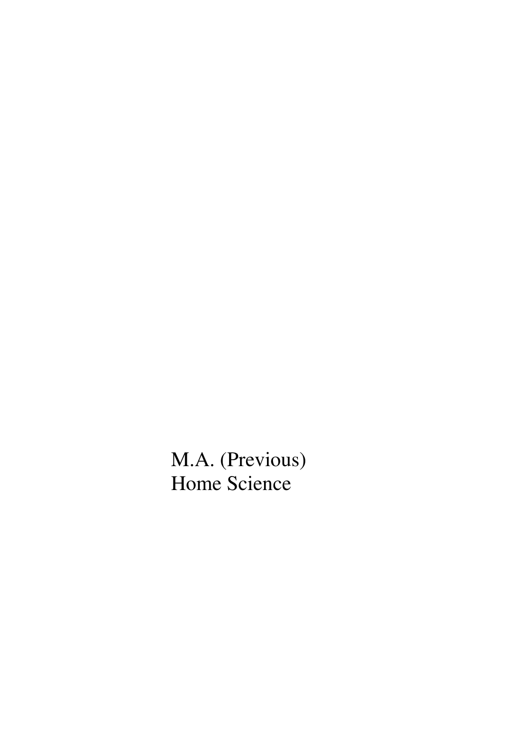M.A. (Previous) Home Science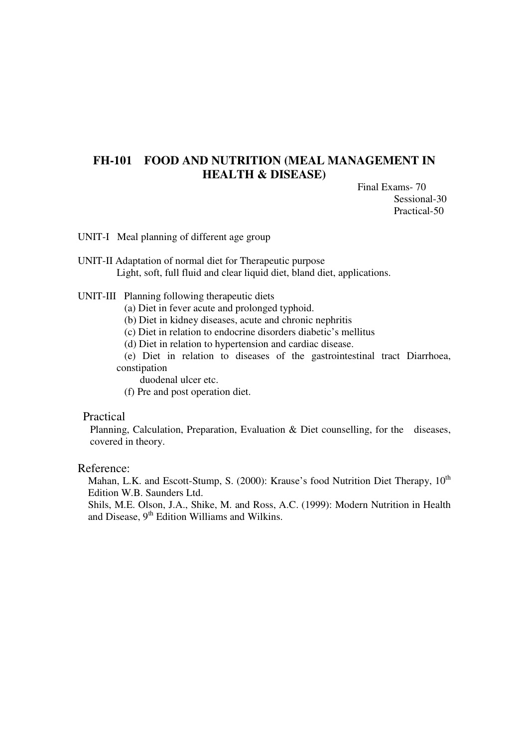# **FH-101 FOOD AND NUTRITION (MEAL MANAGEMENT IN HEALTH & DISEASE)**

Final Exams- 70 Sessional-30 Practical-50

UNIT-I Meal planning of different age group

UNIT-II Adaptation of normal diet for Therapeutic purpose Light, soft, full fluid and clear liquid diet, bland diet, applications.

UNIT-III Planning following therapeutic diets

(a) Diet in fever acute and prolonged typhoid.

(b) Diet in kidney diseases, acute and chronic nephritis

(c) Diet in relation to endocrine disorders diabetic's mellitus

(d) Diet in relation to hypertension and cardiac disease.

 (e) Diet in relation to diseases of the gastrointestinal tract Diarrhoea, constipation

duodenal ulcer etc.

(f) Pre and post operation diet.

### Practical

Planning, Calculation, Preparation, Evaluation & Diet counselling, for the diseases, covered in theory.

### Reference:

Mahan, L.K. and Escott-Stump, S. (2000): Krause's food Nutrition Diet Therapy, 10<sup>th</sup> Edition W.B. Saunders Ltd.

Shils, M.E. Olson, J.A., Shike, M. and Ross, A.C. (1999): Modern Nutrition in Health and Disease,  $9<sup>th</sup>$  Edition Williams and Wilkins.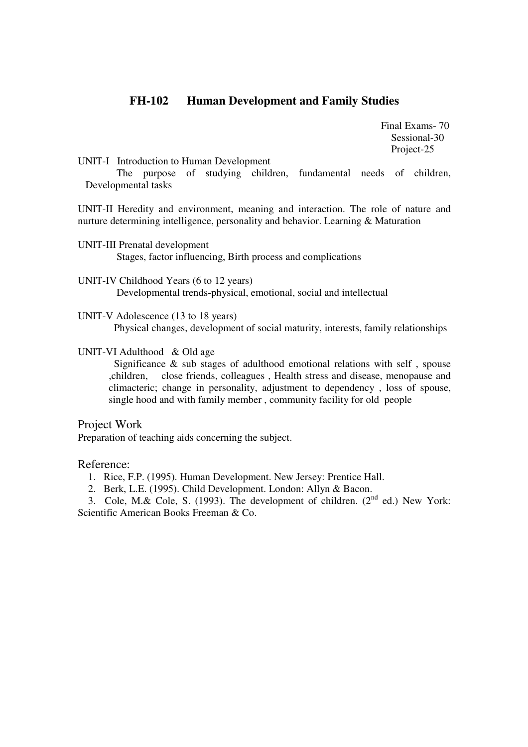# **FH-102 Human Development and Family Studies**

 Final Exams- 70 Sessional-30 Project-25

UNIT-I Introduction to Human Development

 The purpose of studying children, fundamental needs of children, Developmental tasks

UNIT-II Heredity and environment, meaning and interaction. The role of nature and nurture determining intelligence, personality and behavior. Learning & Maturation

- UNIT-III Prenatal development Stages, factor influencing, Birth process and complications
- UNIT-IV Childhood Years (6 to 12 years) Developmental trends-physical, emotional, social and intellectual
- UNIT-V Adolescence (13 to 18 years)

Physical changes, development of social maturity, interests, family relationships

### UNIT-VI Adulthood & Old age

 Significance & sub stages of adulthood emotional relations with self , spouse ,children, close friends, colleagues , Health stress and disease, menopause and climacteric; change in personality, adjustment to dependency , loss of spouse, single hood and with family member , community facility for old people

Project Work Preparation of teaching aids concerning the subject.

### Reference:

- 1. Rice, F.P. (1995). Human Development. New Jersey: Prentice Hall.
- 2. Berk, L.E. (1995). Child Development. London: Allyn & Bacon.

3. Cole, M.& Cole, S. (1993). The development of children. (2<sup>nd</sup> ed.) New York: Scientific American Books Freeman & Co.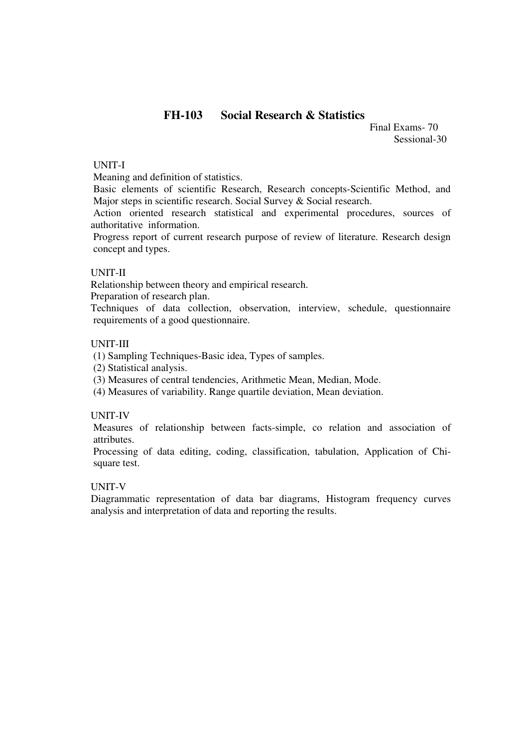# **FH-103 Social Research & Statistics**

 Final Exams- 70 Sessional-30

### UNIT-I

Meaning and definition of statistics.

Basic elements of scientific Research, Research concepts-Scientific Method, and Major steps in scientific research. Social Survey & Social research.

Action oriented research statistical and experimental procedures, sources of authoritative information.

Progress report of current research purpose of review of literature. Research design concept and types.

### UNIT-II

Relationship between theory and empirical research.

Preparation of research plan.

Techniques of data collection, observation, interview, schedule, questionnaire requirements of a good questionnaire.

### UNIT-III

(1) Sampling Techniques-Basic idea, Types of samples.

(2) Statistical analysis.

(3) Measures of central tendencies, Arithmetic Mean, Median, Mode.

(4) Measures of variability. Range quartile deviation, Mean deviation.

### UNIT-IV

Measures of relationship between facts-simple, co relation and association of attributes.

Processing of data editing, coding, classification, tabulation, Application of Chisquare test.

### UNIT-V

Diagrammatic representation of data bar diagrams, Histogram frequency curves analysis and interpretation of data and reporting the results.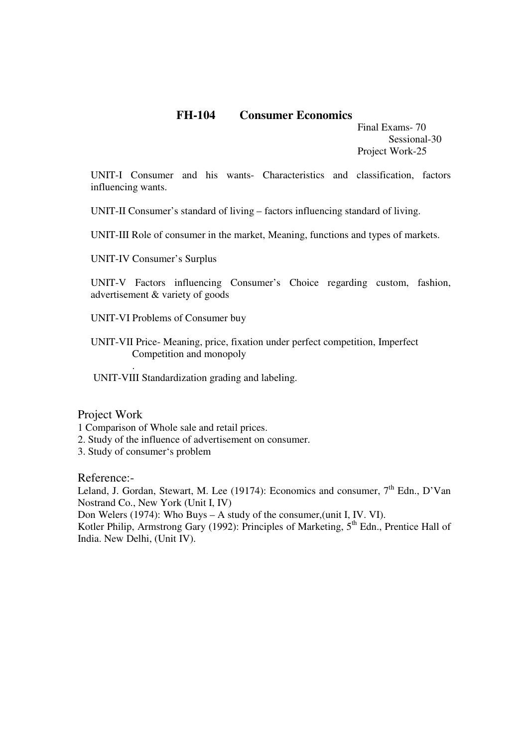# **FH-104 Consumer Economics**

Final Exams- 70 Sessional-30 Project Work-25

UNIT-I Consumer and his wants- Characteristics and classification, factors influencing wants.

UNIT-II Consumer's standard of living – factors influencing standard of living.

UNIT-III Role of consumer in the market, Meaning, functions and types of markets.

UNIT-IV Consumer's Surplus

UNIT-V Factors influencing Consumer's Choice regarding custom, fashion, advertisement & variety of goods

UNIT-VI Problems of Consumer buy

UNIT-VII Price- Meaning, price, fixation under perfect competition, Imperfect Competition and monopoly

UNIT-VIII Standardization grading and labeling.

Project Work

.

1 Comparison of Whole sale and retail prices.

- 2. Study of the influence of advertisement on consumer.
- 3. Study of consumer's problem

Reference:-

Leland, J. Gordan, Stewart, M. Lee (19174): Economics and consumer,  $7<sup>th</sup>$  Edn., D'Van Nostrand Co., New York (Unit I, IV) Don Welers (1974): Who Buys – A study of the consumer,(unit I, IV. VI). Kotler Philip, Armstrong Gary (1992): Principles of Marketing, 5<sup>th</sup> Edn., Prentice Hall of India. New Delhi, (Unit IV).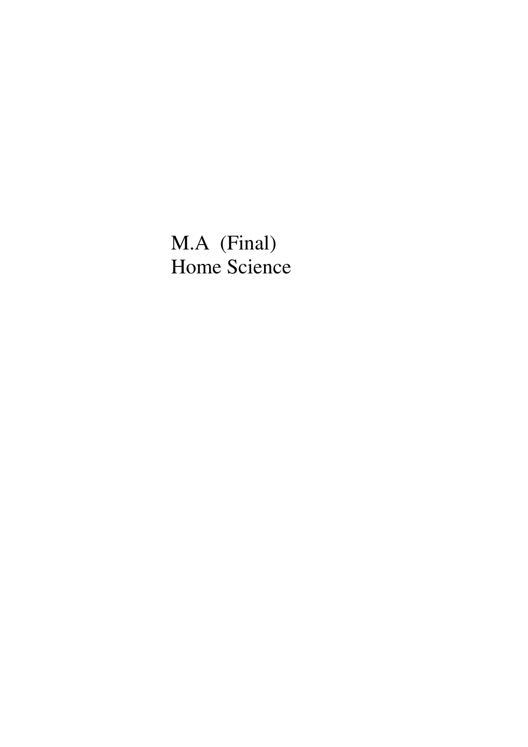M.A (Final) Home Science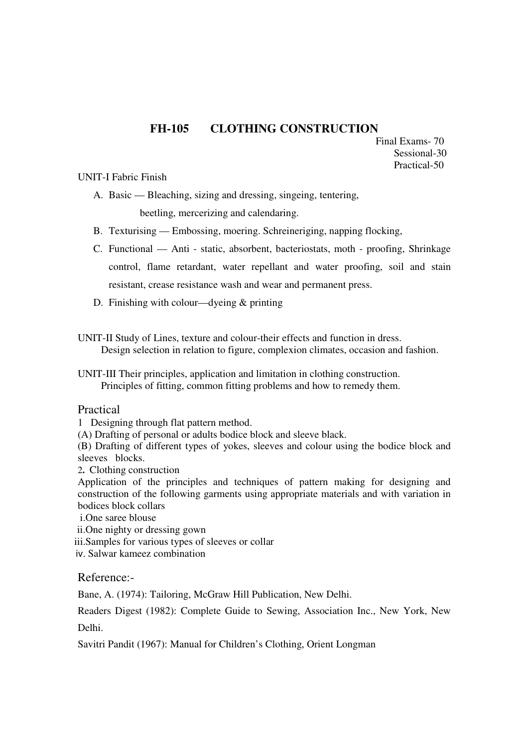# **FH-105 CLOTHING CONSTRUCTION**

 Final Exams- 70 Sessional-30 Practical-50

### UNIT-I Fabric Finish

A. Basic — Bleaching, sizing and dressing, singeing, tentering,

beetling, mercerizing and calendaring.

- B. Texturising Embossing, moering. Schreineriging, napping flocking,
- C. Functional Anti static, absorbent, bacteriostats, moth proofing, Shrinkage control, flame retardant, water repellant and water proofing, soil and stain resistant, crease resistance wash and wear and permanent press.
- D. Finishing with colour—dyeing & printing
- UNIT-II Study of Lines, texture and colour-their effects and function in dress. Design selection in relation to figure, complexion climates, occasion and fashion.
- UNIT-III Their principles, application and limitation in clothing construction. Principles of fitting, common fitting problems and how to remedy them.

### Practical

- 1 Designing through flat pattern method.
- (A) Drafting of personal or adults bodice block and sleeve black.

(B) Drafting of different types of yokes, sleeves and colour using the bodice block and sleeves blocks.

2**.** Clothing construction

Application of the principles and techniques of pattern making for designing and construction of the following garments using appropriate materials and with variation in bodices block collars

- i.One saree blouse
- ii.One nighty or dressing gown
- iii.Samples for various types of sleeves or collar
- iv. Salwar kameez combination

## Reference:-

Bane, A. (1974): Tailoring, McGraw Hill Publication, New Delhi.

Readers Digest (1982): Complete Guide to Sewing, Association Inc., New York, New Delhi.

Savitri Pandit (1967): Manual for Children's Clothing, Orient Longman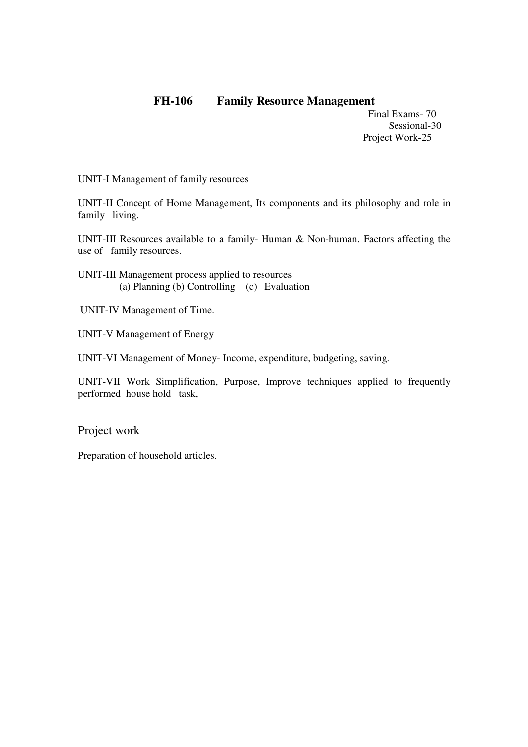# **FH-106 Family Resource Management**

 Final Exams- 70 Sessional-30 Project Work-25

UNIT-I Management of family resources

UNIT-II Concept of Home Management, Its components and its philosophy and role in family living.

UNIT-III Resources available to a family- Human & Non-human. Factors affecting the use of family resources.

- UNIT-III Management process applied to resources (a) Planning (b) Controlling (c) Evaluation
- UNIT-IV Management of Time.
- UNIT-V Management of Energy

UNIT-VI Management of Money- Income, expenditure, budgeting, saving.

UNIT-VII Work Simplification, Purpose, Improve techniques applied to frequently performed house hold task,

Project work

Preparation of household articles.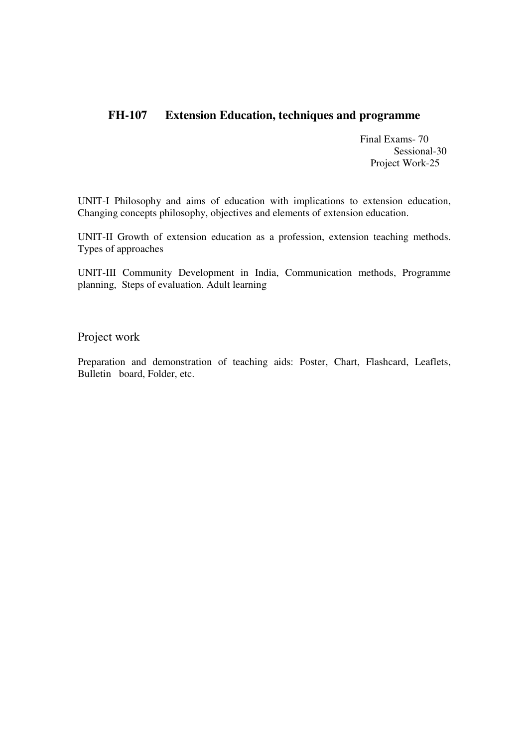# **FH-107 Extension Education, techniques and programme**

 Final Exams- 70 Sessional-30 Project Work-25

UNIT-I Philosophy and aims of education with implications to extension education, Changing concepts philosophy, objectives and elements of extension education.

UNIT-II Growth of extension education as a profession, extension teaching methods. Types of approaches

UNIT-III Community Development in India, Communication methods, Programme planning, Steps of evaluation. Adult learning

Project work

Preparation and demonstration of teaching aids: Poster, Chart, Flashcard, Leaflets, Bulletin board, Folder, etc.